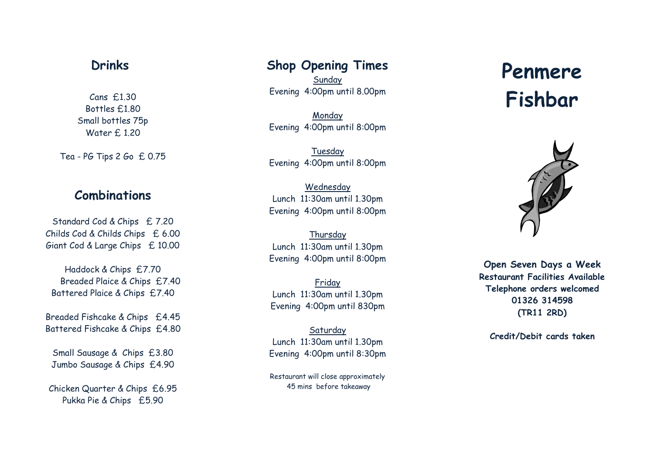# **Drinks**

Cans £1. 3 0 Bottles £1.8 0 Small bottles 75 p Water £ 1.2 0

Tea - PG Tips 2 Go £ 0.75

# **Combinations**

Standard Cod & Chips £ 7.20 Childs Cod & Childs Chips £ 6.00 Giant Cod & Large Chips £ 10.00

Haddock & Chips £7.70 Breaded Plaice & Chips £7.40 Battered Plaice & Chips £7.40

Breaded Fishcake & Chips £4.45 Battered Fishcake & Chips £4 .80

Small Sausage & Chips £3.80 Jumbo Sausage & Chips £4.90

Chicken Quarter & Chips £6.95 Pukka Pie & Chips £5.90

**Shop Opening Times** 

Sunday Evening 4: 0 0pm until 8. 00pm

Monday Evening 4: 0 0pm until 8:00pm

Tuesday Evening 4: 0 0pm until 8:00pm

Wednesday Lunch 11:30am until 1.30pm Evening 4: 0 0pm until 8:00pm

Thursday Lunch 11:30am until 1.30pm Evening 4: 0 0pm until 8:00pm

Friday Lunch 11:30am until 1.30pm Evening 4: 0 0pm until 8 3 0pm

Saturday Lunch 11:30am until 1.30pm Evening 4:00pm until 8 : 30pm

Restaurant will close approximately 45 mins before takeaway

# **Penmere Fishbar**



**Open Seven Days a Week Restaurant Facilities Available Telephone orders welcomed 01326 314598 (TR11 2RD)**

**Credit/Debit cards taken**